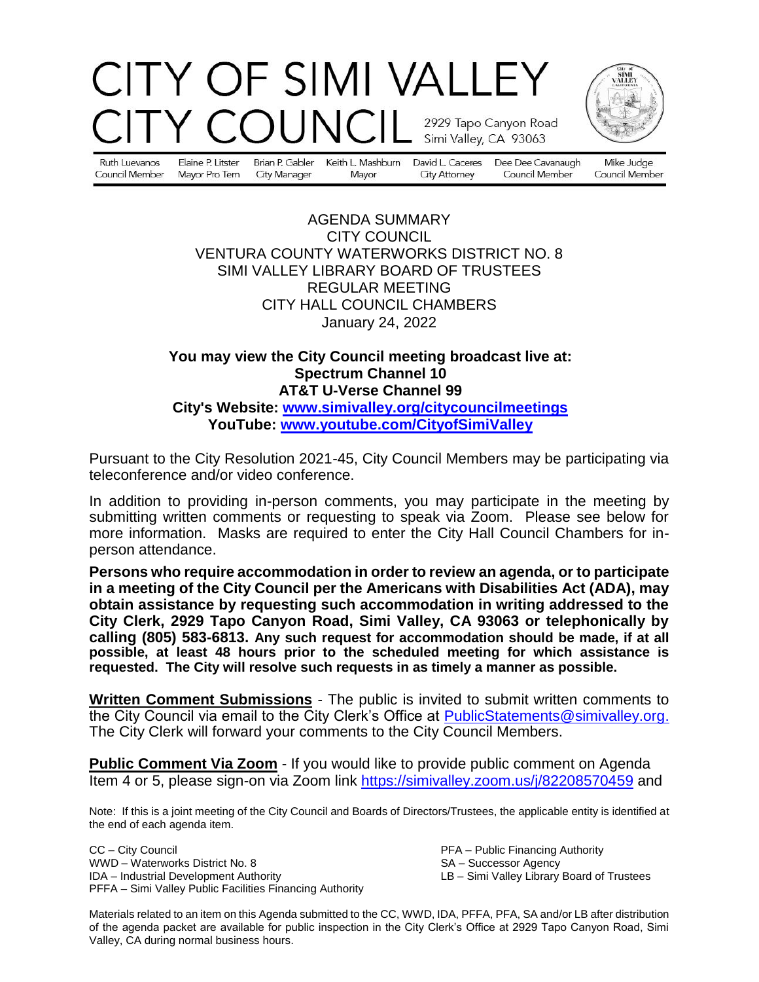# CITY OF SIMI VALLEY COUNC 2929 Tapo Canyon Road Simi Valley, CA 93063



Ruth Luevanos Council Member

Elaine P. Litster Brian P. Gabler Mayor Pro Tem **City Manager** 

Keith L. Mashburn Mayor

David L. Caceres Dee Dee Cavanaugh **City Attorney** 

Council Member

Mike Judge Council Member

### AGENDA SUMMARY CITY COUNCIL VENTURA COUNTY WATERWORKS DISTRICT NO. 8 SIMI VALLEY LIBRARY BOARD OF TRUSTEES REGULAR MEETING CITY HALL COUNCIL CHAMBERS January 24, 2022

# **You may view the City Council meeting broadcast live at: Spectrum Channel 10 AT&T U-Verse Channel 99 City's Website: [www.simivalley.org/citycouncilmeetings](http://www.simivalley.org/citycouncilmeetings) YouTube: [www.youtube.com/CityofSimiValley](http://www.youtube.com/CityofSimiValley)**

Pursuant to the City Resolution 2021-45, City Council Members may be participating via teleconference and/or video conference.

In addition to providing in-person comments, you may participate in the meeting by submitting written comments or requesting to speak via Zoom. Please see below for more information. Masks are required to enter the City Hall Council Chambers for inperson attendance.

**Persons who require accommodation in order to review an agenda, or to participate in a meeting of the City Council per the Americans with Disabilities Act (ADA), may obtain assistance by requesting such accommodation in writing addressed to the City Clerk, 2929 Tapo Canyon Road, Simi Valley, CA 93063 or telephonically by calling (805) 583-6813. Any such request for accommodation should be made, if at all possible, at least 48 hours prior to the scheduled meeting for which assistance is requested. The City will resolve such requests in as timely a manner as possible.**

**Written Comment Submissions** - The public is invited to submit written comments to the City Council via email to the City Clerk's Office at **PublicStatements@simivalley.org.** The City Clerk will forward your comments to the City Council Members.

**Public Comment Via Zoom** - If you would like to provide public comment on Agenda Item 4 or 5, please sign-on via Zoom link <https://simivalley.zoom.us/j/82208570459> and

Note: If this is a joint meeting of the City Council and Boards of Directors/Trustees, the applicable entity is identified at the end of each agenda item.

CC – City Council PFA – Public Financing Authority WWD – Waterworks District No. 8 SA – Successor Agency IDA – Industrial Development Authority LB – Simi Valley Library Board of Trustees PFFA – Simi Valley Public Facilities Financing Authority

Materials related to an item on this Agenda submitted to the CC, WWD, IDA, PFFA, PFA, SA and/or LB after distribution of the agenda packet are available for public inspection in the City Clerk's Office at 2929 Tapo Canyon Road, Simi Valley, CA during normal business hours.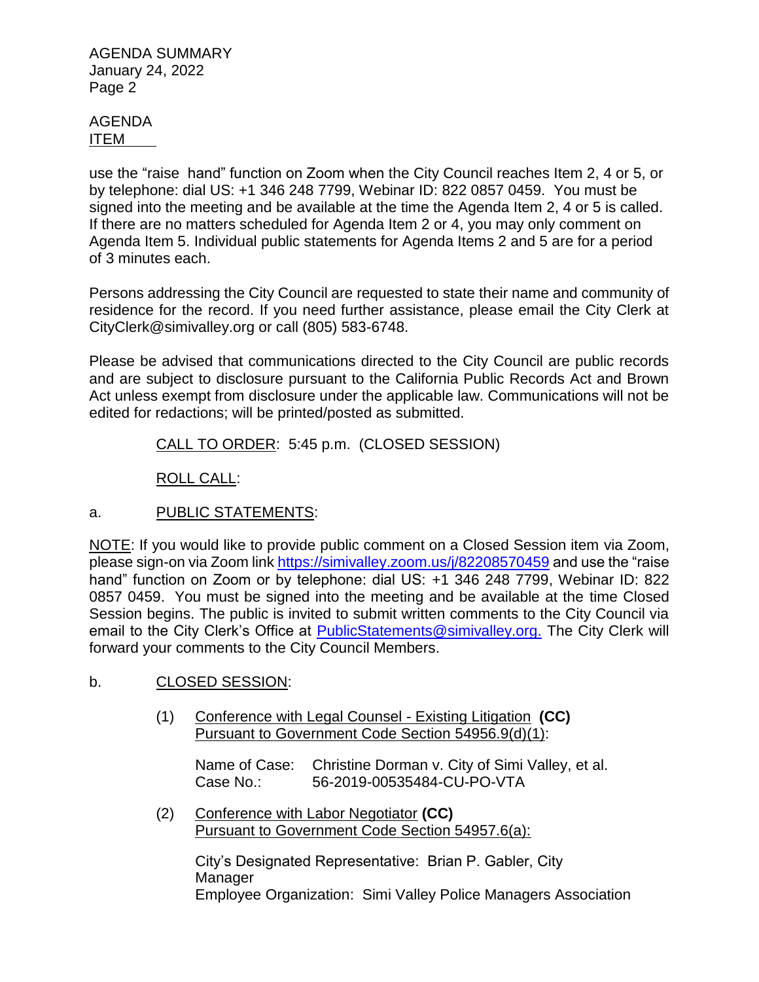#### AGENDA ITEM

use the "raise hand" function on Zoom when the City Council reaches Item 2, 4 or 5, or by telephone: dial US: +1 346 248 7799, Webinar ID: 822 0857 0459. You must be signed into the meeting and be available at the time the Agenda Item 2, 4 or 5 is called. If there are no matters scheduled for Agenda Item 2 or 4, you may only comment on Agenda Item 5. Individual public statements for Agenda Items 2 and 5 are for a period of 3 minutes each.

Persons addressing the City Council are requested to state their name and community of residence for the record. If you need further assistance, please email the City Clerk at CityClerk@simivalley.org or call (805) 583-6748.

Please be advised that communications directed to the City Council are public records and are subject to disclosure pursuant to the California Public Records Act and Brown Act unless exempt from disclosure under the applicable law. Communications will not be edited for redactions; will be printed/posted as submitted.

CALL TO ORDER: 5:45 p.m. (CLOSED SESSION)

ROLL CALL:

# a. PUBLIC STATEMENTS:

NOTE: If you would like to provide public comment on a Closed Session item via Zoom, please sign-on via Zoom link <https://simivalley.zoom.us/j/82208570459> and use the "raise hand" function on Zoom or by telephone: dial US: +1 346 248 7799, Webinar ID: 822 0857 0459. You must be signed into the meeting and be available at the time Closed Session begins. The public is invited to submit written comments to the City Council via email to the City Clerk's Office at [PublicStatements@simivalley.org.](mailto:PublicStatements@simivalley.org) The City Clerk will forward your comments to the City Council Members.

# b. CLOSED SESSION:

(1) Conference with Legal Counsel - Existing Litigation **(CC)** Pursuant to Government Code Section 54956.9(d)(1):

Name of Case: Christine Dorman v. City of Simi Valley, et al. Case No.: 56-2019-00535484-CU-PO-VTA

(2) Conference with Labor Negotiator **(CC)** Pursuant to Government Code Section 54957.6(a):

City's Designated Representative: Brian P. Gabler, City Manager Employee Organization: Simi Valley Police Managers Association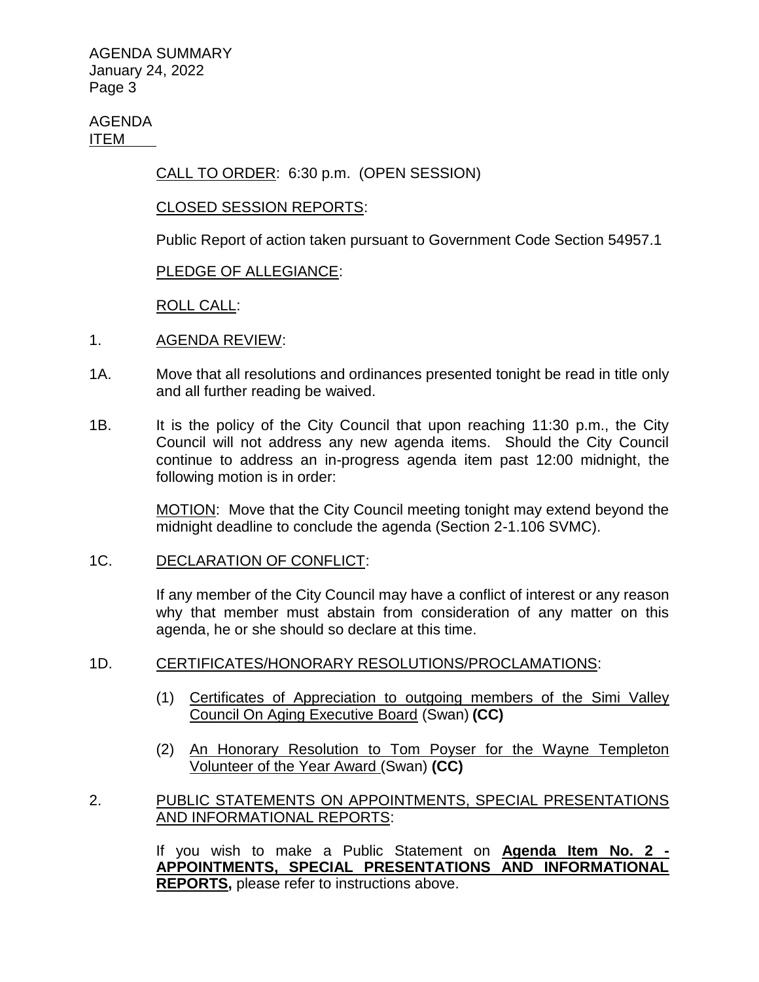AGENDA ITEM

CALL TO ORDER: 6:30 p.m. (OPEN SESSION)

### CLOSED SESSION REPORTS:

Public Report of action taken pursuant to Government Code Section 54957.1

# PLEDGE OF ALLEGIANCE:

ROLL CALL:

- 1. AGENDA REVIEW:
- 1A. Move that all resolutions and ordinances presented tonight be read in title only and all further reading be waived.
- 1B. It is the policy of the City Council that upon reaching 11:30 p.m., the City Council will not address any new agenda items. Should the City Council continue to address an in-progress agenda item past 12:00 midnight, the following motion is in order:

MOTION: Move that the City Council meeting tonight may extend beyond the midnight deadline to conclude the agenda (Section 2-1.106 SVMC).

### 1C. DECLARATION OF CONFLICT:

If any member of the City Council may have a conflict of interest or any reason why that member must abstain from consideration of any matter on this agenda, he or she should so declare at this time.

### 1D. CERTIFICATES/HONORARY RESOLUTIONS/PROCLAMATIONS:

- (1) Certificates of Appreciation to outgoing members of the Simi Valley Council On Aging Executive Board (Swan) **(CC)**
- (2) An Honorary Resolution to Tom Poyser for the Wayne Templeton Volunteer of the Year Award (Swan) **(CC)**

# 2. PUBLIC STATEMENTS ON APPOINTMENTS, SPECIAL PRESENTATIONS AND INFORMATIONAL REPORTS:

If you wish to make a Public Statement on **Agenda Item No. 2 - APPOINTMENTS, SPECIAL PRESENTATIONS AND INFORMATIONAL REPORTS,** please refer to instructions above.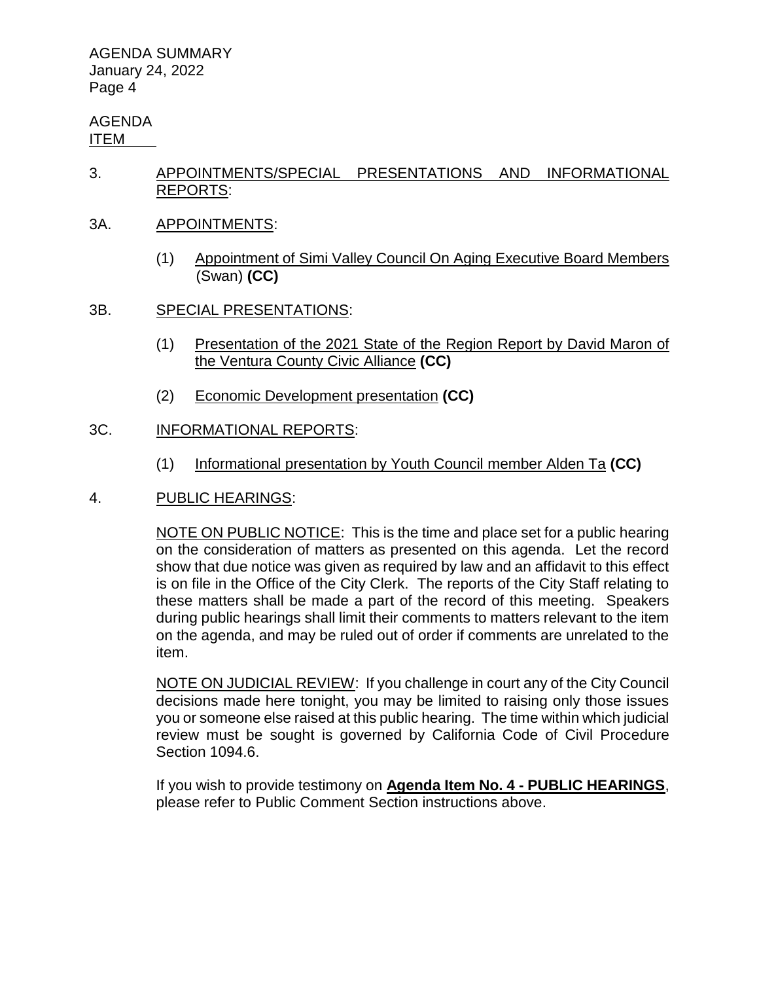#### AGENDA ITEM

- 3. APPOINTMENTS/SPECIAL PRESENTATIONS AND INFORMATIONAL REPORTS:
- 3A. APPOINTMENTS:
	- (1) Appointment of Simi Valley Council On Aging Executive Board Members (Swan) **(CC)**
- 3B. SPECIAL PRESENTATIONS:
	- (1) Presentation of the 2021 State of the Region Report by David Maron of the Ventura County Civic Alliance **(CC)**
	- (2) Economic Development presentation **(CC)**

### 3C. INFORMATIONAL REPORTS:

- (1) Informational presentation by Youth Council member Alden Ta **(CC)**
- 4. PUBLIC HEARINGS:

NOTE ON PUBLIC NOTICE: This is the time and place set for a public hearing on the consideration of matters as presented on this agenda. Let the record show that due notice was given as required by law and an affidavit to this effect is on file in the Office of the City Clerk. The reports of the City Staff relating to these matters shall be made a part of the record of this meeting. Speakers during public hearings shall limit their comments to matters relevant to the item on the agenda, and may be ruled out of order if comments are unrelated to the item.

NOTE ON JUDICIAL REVIEW: If you challenge in court any of the City Council decisions made here tonight, you may be limited to raising only those issues you or someone else raised at this public hearing. The time within which judicial review must be sought is governed by California Code of Civil Procedure Section 1094.6.

If you wish to provide testimony on **Agenda Item No. 4 - PUBLIC HEARINGS**, please refer to Public Comment Section instructions above.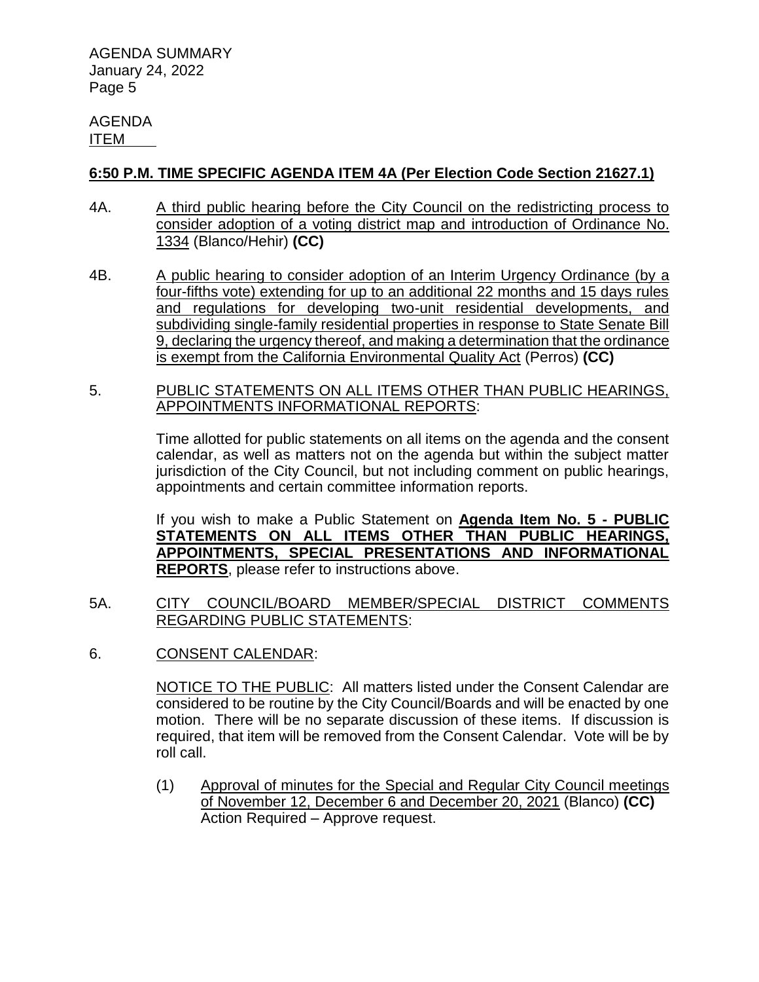AGENDA ITEM

## **6:50 P.M. TIME SPECIFIC AGENDA ITEM 4A (Per Election Code Section 21627.1)**

- 4A. A third public hearing before the City Council on the redistricting process to consider adoption of a voting district map and introduction of Ordinance No. 1334 (Blanco/Hehir) **(CC)**
- 4B. A public hearing to consider adoption of an Interim Urgency Ordinance (by a four-fifths vote) extending for up to an additional 22 months and 15 days rules and regulations for developing two-unit residential developments, and subdividing single-family residential properties in response to State Senate Bill 9, declaring the urgency thereof, and making a determination that the ordinance is exempt from the California Environmental Quality Act (Perros) **(CC)**
- 5. PUBLIC STATEMENTS ON ALL ITEMS OTHER THAN PUBLIC HEARINGS, APPOINTMENTS INFORMATIONAL REPORTS:

Time allotted for public statements on all items on the agenda and the consent calendar, as well as matters not on the agenda but within the subject matter jurisdiction of the City Council, but not including comment on public hearings, appointments and certain committee information reports.

If you wish to make a Public Statement on **Agenda Item No. 5 - PUBLIC STATEMENTS ON ALL ITEMS OTHER THAN PUBLIC HEARINGS, APPOINTMENTS, SPECIAL PRESENTATIONS AND INFORMATIONAL REPORTS**, please refer to instructions above.

- 5A. CITY COUNCIL/BOARD MEMBER/SPECIAL DISTRICT COMMENTS REGARDING PUBLIC STATEMENTS:
- 6. CONSENT CALENDAR:

NOTICE TO THE PUBLIC: All matters listed under the Consent Calendar are considered to be routine by the City Council/Boards and will be enacted by one motion. There will be no separate discussion of these items. If discussion is required, that item will be removed from the Consent Calendar. Vote will be by roll call.

(1) Approval of minutes for the Special and Regular City Council meetings of November 12, December 6 and December 20, 2021 (Blanco) **(CC)** Action Required – Approve request.